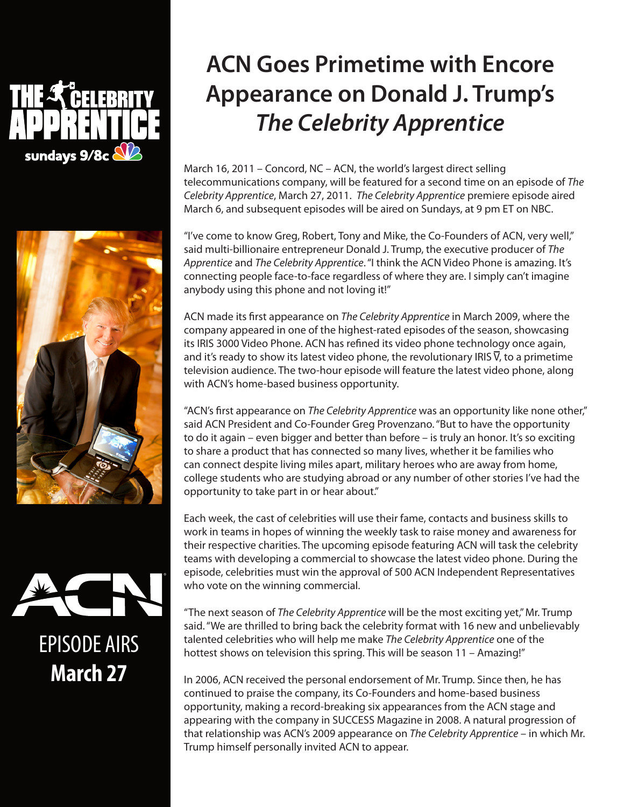



## ®

EPISODE AIRS **March 27**

## **ACN Goes Primetime with Encore Appearance on Donald J. Trump's**  *The Celebrity Apprentice*

March 16, 2011 – Concord, NC – ACN, the world's largest direct selling telecommunications company, will be featured for a second time on an episode of *The Celebrity Apprentice*, March 27, 2011. *The Celebrity Apprentice* premiere episode aired March 6, and subsequent episodes will be aired on Sundays, at 9 pm ET on NBC.

"I've come to know Greg, Robert, Tony and Mike, the Co-Founders of ACN, very well," said multi-billionaire entrepreneur Donald J. Trump, the executive producer of *The Apprentice* and *The Celebrity Apprentice*. "I think the ACN Video Phone is amazing. It's connecting people face-to-face regardless of where they are. I simply can't imagine anybody using this phone and not loving it!"

ACN made its first appearance on *The Celebrity Apprentice* in March 2009, where the company appeared in one of the highest-rated episodes of the season, showcasing its IRIS 3000 Video Phone. ACN has refined its video phone technology once again, and it's ready to show its latest video phone, the revolutionary IRIS  $\overline{V}$ , to a primetime television audience. The two-hour episode will feature the latest video phone, along with ACN's home-based business opportunity.

"ACN's first appearance on *The Celebrity Apprentice* was an opportunity like none other," said ACN President and Co-Founder Greg Provenzano. "But to have the opportunity to do it again – even bigger and better than before – is truly an honor. It's so exciting to share a product that has connected so many lives, whether it be families who can connect despite living miles apart, military heroes who are away from home, college students who are studying abroad or any number of other stories I've had the opportunity to take part in or hear about."

Each week, the cast of celebrities will use their fame, contacts and business skills to work in teams in hopes of winning the weekly task to raise money and awareness for their respective charities. The upcoming episode featuring ACN will task the celebrity teams with developing a commercial to showcase the latest video phone. During the episode, celebrities must win the approval of 500 ACN Independent Representatives who vote on the winning commercial.

"The next season of *The Celebrity Apprentice* will be the most exciting yet," Mr. Trump said. "We are thrilled to bring back the celebrity format with 16 new and unbelievably talented celebrities who will help me make *The Celebrity Apprentice* one of the hottest shows on television this spring. This will be season 11 – Amazing!"

In 2006, ACN received the personal endorsement of Mr. Trump. Since then, he has continued to praise the company, its Co-Founders and home-based business opportunity, making a record-breaking six appearances from the ACN stage and appearing with the company in SUCCESS Magazine in 2008. A natural progression of that relationship was ACN's 2009 appearance on *The Celebrity Apprentice* – in which Mr. Trump himself personally invited ACN to appear.